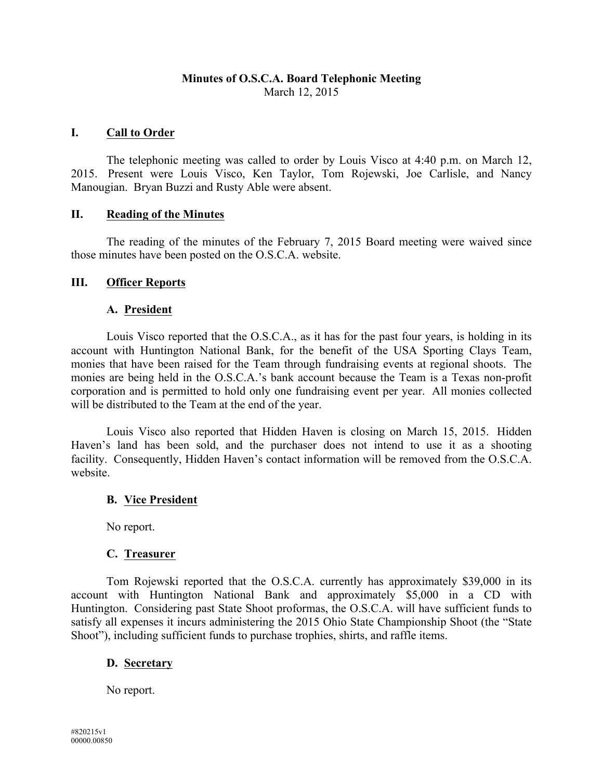# **Minutes of O.S.C.A. Board Telephonic Meeting** March 12, 2015

## **I. Call to Order**

The telephonic meeting was called to order by Louis Visco at 4:40 p.m. on March 12, 2015. Present were Louis Visco, Ken Taylor, Tom Rojewski, Joe Carlisle, and Nancy Manougian. Bryan Buzzi and Rusty Able were absent.

### **II. Reading of the Minutes**

The reading of the minutes of the February 7, 2015 Board meeting were waived since those minutes have been posted on the O.S.C.A. website.

## **III. Officer Reports**

## **A. President**

Louis Visco reported that the O.S.C.A., as it has for the past four years, is holding in its account with Huntington National Bank, for the benefit of the USA Sporting Clays Team, monies that have been raised for the Team through fundraising events at regional shoots. The monies are being held in the O.S.C.A.'s bank account because the Team is a Texas non-profit corporation and is permitted to hold only one fundraising event per year. All monies collected will be distributed to the Team at the end of the year.

Louis Visco also reported that Hidden Haven is closing on March 15, 2015. Hidden Haven's land has been sold, and the purchaser does not intend to use it as a shooting facility. Consequently, Hidden Haven's contact information will be removed from the O.S.C.A. website.

#### **B. Vice President**

No report.

## **C. Treasurer**

Tom Rojewski reported that the O.S.C.A. currently has approximately \$39,000 in its account with Huntington National Bank and approximately \$5,000 in a CD with Huntington. Considering past State Shoot proformas, the O.S.C.A. will have sufficient funds to satisfy all expenses it incurs administering the 2015 Ohio State Championship Shoot (the "State Shoot"), including sufficient funds to purchase trophies, shirts, and raffle items.

## **D. Secretary**

No report.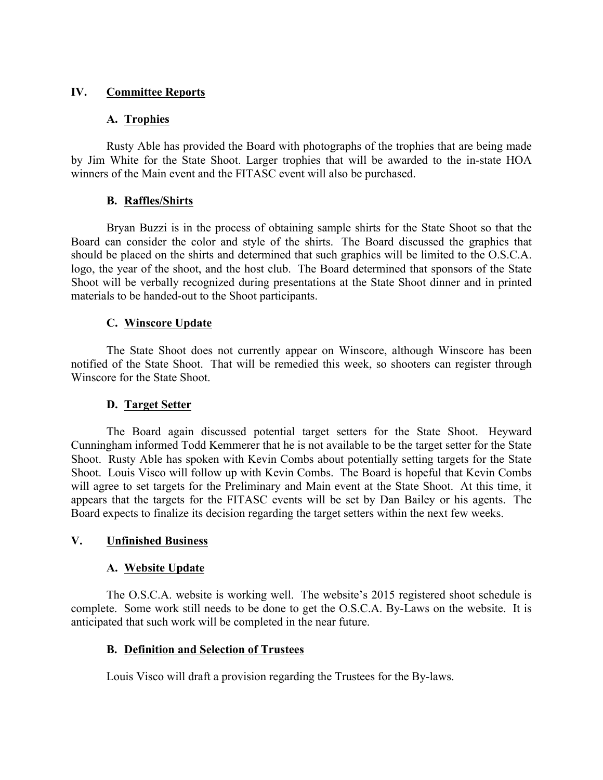### **IV. Committee Reports**

### **A. Trophies**

Rusty Able has provided the Board with photographs of the trophies that are being made by Jim White for the State Shoot. Larger trophies that will be awarded to the in-state HOA winners of the Main event and the FITASC event will also be purchased.

### **B. Raffles/Shirts**

Bryan Buzzi is in the process of obtaining sample shirts for the State Shoot so that the Board can consider the color and style of the shirts. The Board discussed the graphics that should be placed on the shirts and determined that such graphics will be limited to the O.S.C.A. logo, the year of the shoot, and the host club. The Board determined that sponsors of the State Shoot will be verbally recognized during presentations at the State Shoot dinner and in printed materials to be handed-out to the Shoot participants.

### **C. Winscore Update**

The State Shoot does not currently appear on Winscore, although Winscore has been notified of the State Shoot. That will be remedied this week, so shooters can register through Winscore for the State Shoot.

## **D. Target Setter**

The Board again discussed potential target setters for the State Shoot. Heyward Cunningham informed Todd Kemmerer that he is not available to be the target setter for the State Shoot. Rusty Able has spoken with Kevin Combs about potentially setting targets for the State Shoot. Louis Visco will follow up with Kevin Combs. The Board is hopeful that Kevin Combs will agree to set targets for the Preliminary and Main event at the State Shoot. At this time, it appears that the targets for the FITASC events will be set by Dan Bailey or his agents. The Board expects to finalize its decision regarding the target setters within the next few weeks.

## **V. Unfinished Business**

#### **A. Website Update**

The O.S.C.A. website is working well. The website's 2015 registered shoot schedule is complete. Some work still needs to be done to get the O.S.C.A. By-Laws on the website. It is anticipated that such work will be completed in the near future.

#### **B. Definition and Selection of Trustees**

Louis Visco will draft a provision regarding the Trustees for the By-laws.